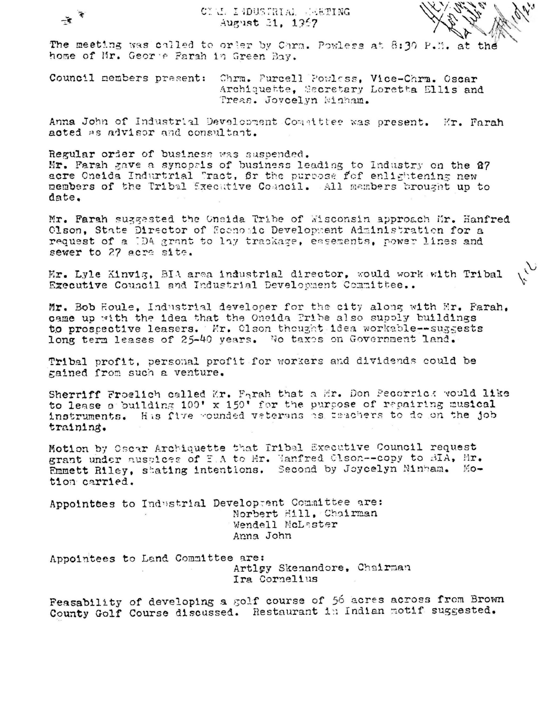The meeting was called to order by Carn. Powless at 8:30 P.M. at the home of Mr. Geor e Farah in Green Bay.

Council members present: Chrm. Purcell Powless, Vice-Chrm. Oscar Archiquette, Secretary Loretta Ellis and Treas. Jovcelyn Minham.

Anna John of Industrial Development Committee was present. Mr. Farah acted as advisor and consultant.

Regular order of business was suspended. Mr. Parah gave a synopals of business leading to Industry on the 87 acre Oneida Indurtrial Tract, for the purpose fof enlightening new members of the Tribal Sxecutive Council. All members brought up to date.

Mr. Farah suggested the Oneida Tribe of Wisconsin approach Mr. Hanfred Olson, State Director of Economic Development Administration for a request of a 1DA grant to lay trackage, easements, power lines and sewer to 27 acre site.

Er. Lyle Kinvig, BIA area industrial director, would work with Tribal Executive Council and Industrial Development Committee..

Mr. Bob Houle, Industrial developer for the city along with Mr. Farah. came up with the idea that the Oneida Pribe also supply buildings to prospective leasers. Mr. Olson thought idea workable--suggests long term leases of 25-40 years. No taxes on Government land.

Tribal profit, personal profit for workers and dividends could be gained from such a venture.

Sherriff Froelich called Mr. Farah that a Mr. Don Pecorrick would like to lease a building 100' x 150' for the purpose of repairing musical instruments. His five wounded vaterans as takehers to do on the job training.

Motion by Oscar Archiquette that Iribal Executive Council request grant under auspices of E.A to Mr. Hanfred Clson--copy to BIA, Mr.<br>Emmett Riley, stating intentions. Second by Joycelyn Minham. Motion carried.

Appointses to Industrial Developeent Committee are: Norbert Hill. Chairman Wendell McLaster Anna John

Appointees to Land Committee are: Artløy Skenandore, Chairman Ira Cornelius

Feasability of developing a golf course of 56 acres across from Brown County Golf Course discussed. Restaurant in Indian motif suggested.

 $\div$